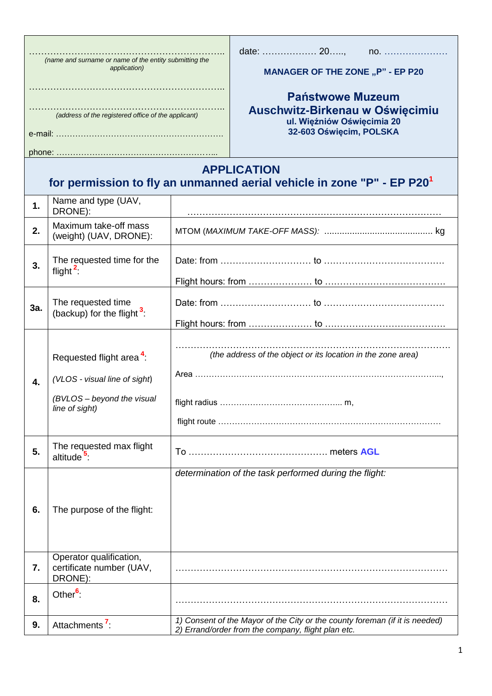| (name and surname or name of the entity submitting the<br>application)<br>(address of the registered office of the applicant) |                                                                                                                       |  | no.<br><b>MANAGER OF THE ZONE "P" - EP P20</b><br><b>Państwowe Muzeum</b><br>Auschwitz-Birkenau w Oświęcimiu<br>ul. Więźniów Oświęcimia 20<br>32-603 Oświęcim, POLSKA |  |
|-------------------------------------------------------------------------------------------------------------------------------|-----------------------------------------------------------------------------------------------------------------------|--|-----------------------------------------------------------------------------------------------------------------------------------------------------------------------|--|
| <b>APPLICATION</b><br>for permission to fly an unmanned aerial vehicle in zone "P" - EP P20 <sup>1</sup>                      |                                                                                                                       |  |                                                                                                                                                                       |  |
| 1.                                                                                                                            | Name and type (UAV,<br>DRONE):                                                                                        |  |                                                                                                                                                                       |  |
| 2.                                                                                                                            | Maximum take-off mass<br>(weight) (UAV, DRONE):                                                                       |  |                                                                                                                                                                       |  |
| 3.                                                                                                                            | The requested time for the<br>flight $2$                                                                              |  |                                                                                                                                                                       |  |
| 3a.                                                                                                                           | The requested time<br>(backup) for the flight $3$ :                                                                   |  |                                                                                                                                                                       |  |
| 4.                                                                                                                            | Requested flight area <sup>4</sup> :<br>(VLOS - visual line of sight)<br>(BVLOS - beyond the visual<br>line of sight) |  | (the address of the object or its location in the zone area)                                                                                                          |  |
| 5.                                                                                                                            | The requested max flight<br>altitude <sup>5</sup> :                                                                   |  |                                                                                                                                                                       |  |
| 6.                                                                                                                            | The purpose of the flight:                                                                                            |  | determination of the task performed during the flight:                                                                                                                |  |
| 7.                                                                                                                            | Operator qualification,<br>certificate number (UAV,<br>DRONE):                                                        |  |                                                                                                                                                                       |  |
| 8.                                                                                                                            | Other <sup>6</sup>                                                                                                    |  |                                                                                                                                                                       |  |
| 9.                                                                                                                            | Attachments <sup>7</sup> :                                                                                            |  | 1) Consent of the Mayor of the City or the county foreman (if it is needed)<br>2) Errand/order from the company, flight plan etc.                                     |  |